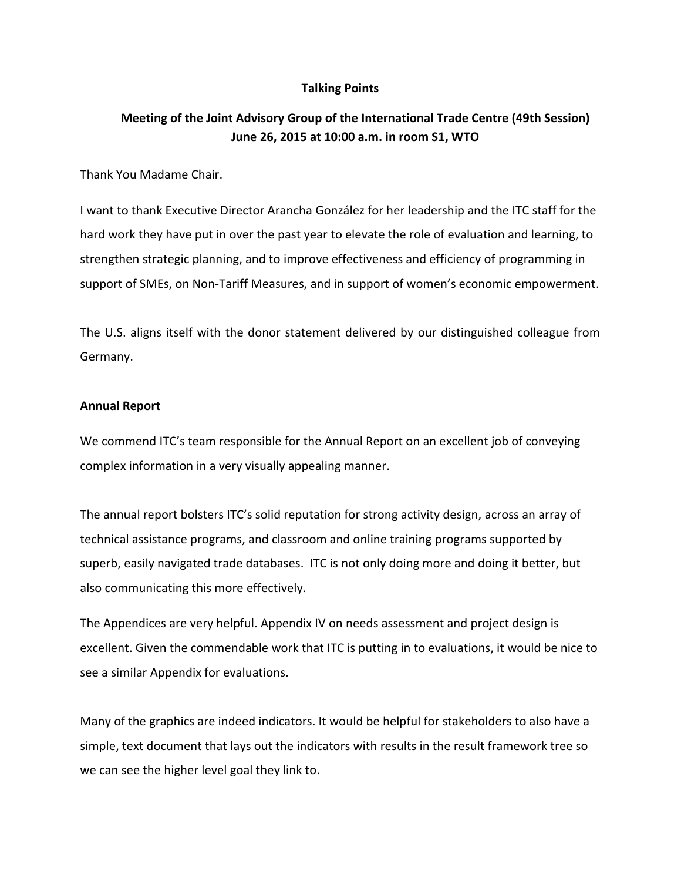## **Talking Points**

# **Meeting of the Joint Advisory Group of the International Trade Centre (49th Session) June 26, 2015 at 10:00 a.m. in room S1, WTO**

Thank You Madame Chair.

I want to thank Executive Director Arancha González for her leadership and the ITC staff for the hard work they have put in over the past year to elevate the role of evaluation and learning, to strengthen strategic planning, and to improve effectiveness and efficiency of programming in support of SMEs, on Non-Tariff Measures, and in support of women's economic empowerment.

The U.S. aligns itself with the donor statement delivered by our distinguished colleague from Germany.

#### **Annual Report**

We commend ITC's team responsible for the Annual Report on an excellent job of conveying complex information in a very visually appealing manner.

The annual report bolsters ITC's solid reputation for strong activity design, across an array of technical assistance programs, and classroom and online training programs supported by superb, easily navigated trade databases. ITC is not only doing more and doing it better, but also communicating this more effectively.

The Appendices are very helpful. Appendix IV on needs assessment and project design is excellent. Given the commendable work that ITC is putting in to evaluations, it would be nice to see a similar Appendix for evaluations.

Many of the graphics are indeed indicators. It would be helpful for stakeholders to also have a simple, text document that lays out the indicators with results in the result framework tree so we can see the higher level goal they link to.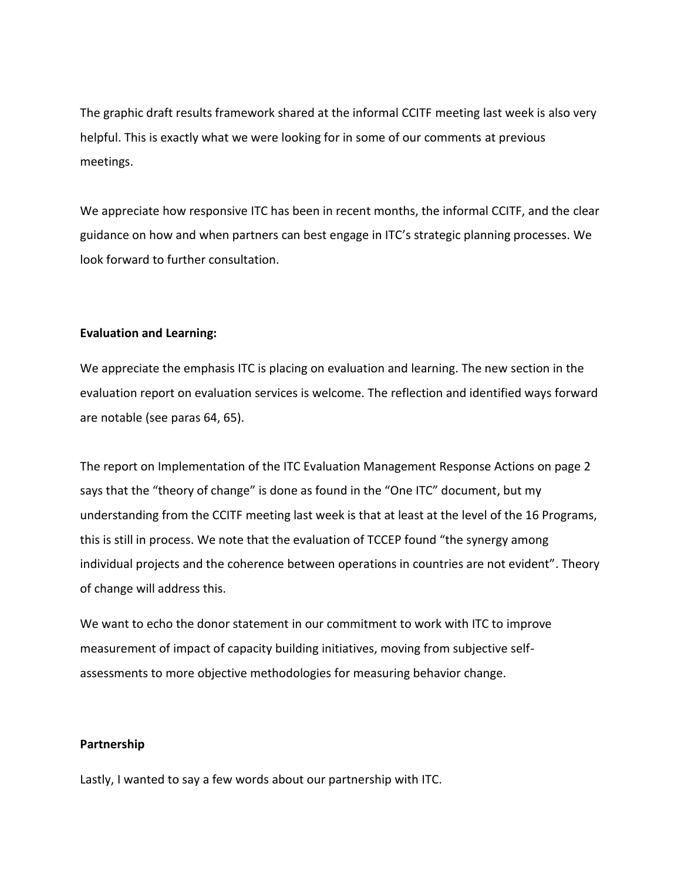The graphic draft results framework shared at the informal CCITF meeting last week is also very helpful. This is exactly what we were looking for in some of our comments at previous meetings.

We appreciate how responsive ITC has been in recent months, the informal CCITF, and the clear guidance on how and when partners can best engage in ITC's strategic planning processes. We look forward to further consultation.

## **Evaluation and Learning:**

We appreciate the emphasis ITC is placing on evaluation and learning. The new section in the evaluation report on evaluation services is welcome. The reflection and identified ways forward are notable (see paras 64, 65).

The report on Implementation of the ITC Evaluation Management Response Actions on page 2 says that the "theory of change" is done as found in the "One ITC" document, but my understanding from the CCITF meeting last week is that at least at the level of the 16 Programs, this is still in process. We note that the evaluation of TCCEP found "the synergy among individual projects and the coherence between operations in countries are not evident". Theory of change will address this.

We want to echo the donor statement in our commitment to work with ITC to improve measurement of impact of capacity building initiatives, moving from subjective selfassessments to more objective methodologies for measuring behavior change.

### **Partnership**

Lastly, I wanted to say a few words about our partnership with ITC.